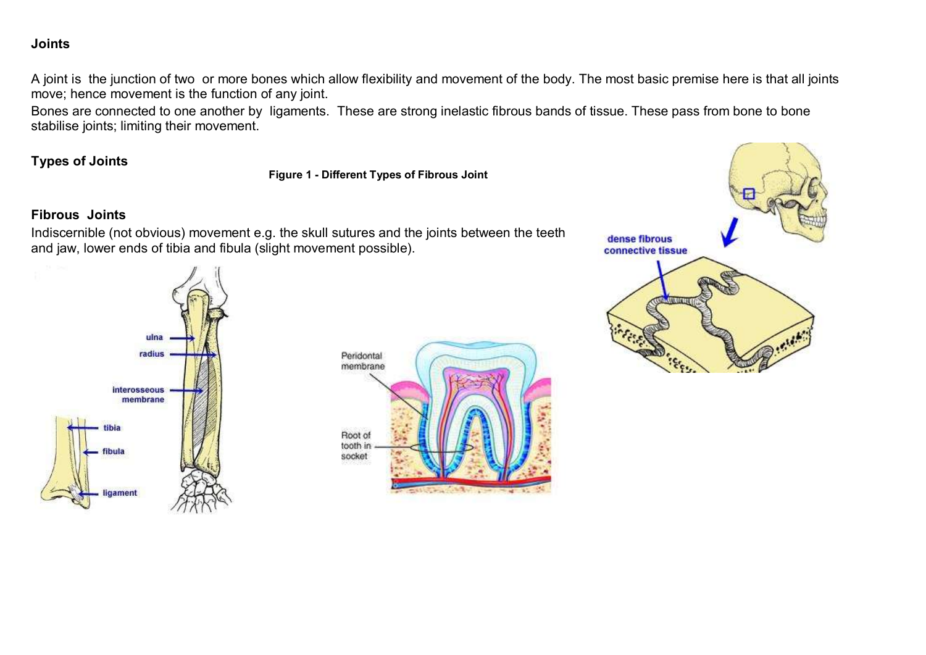### **Joints**

A joint is the junction of two or more bones which allow flexibility and movement of the body. The most basic premise here is that all joints move; hence movement is the function of any joint.

Bones are connected to one another by ligaments. These are strong inelastic fibrous bands of tissue. These pass from bone to bone stabilise joints; limiting their movement.

### **Types of Joints**

**Figure 1 - Different Types of Fibrous Joint**

### **Fibrous Joints**

Indiscernible (not obvious) movement e.g. the skull sutures and the joints between the teeth and jaw, lower ends of tibia and fibula (slight movement possible).





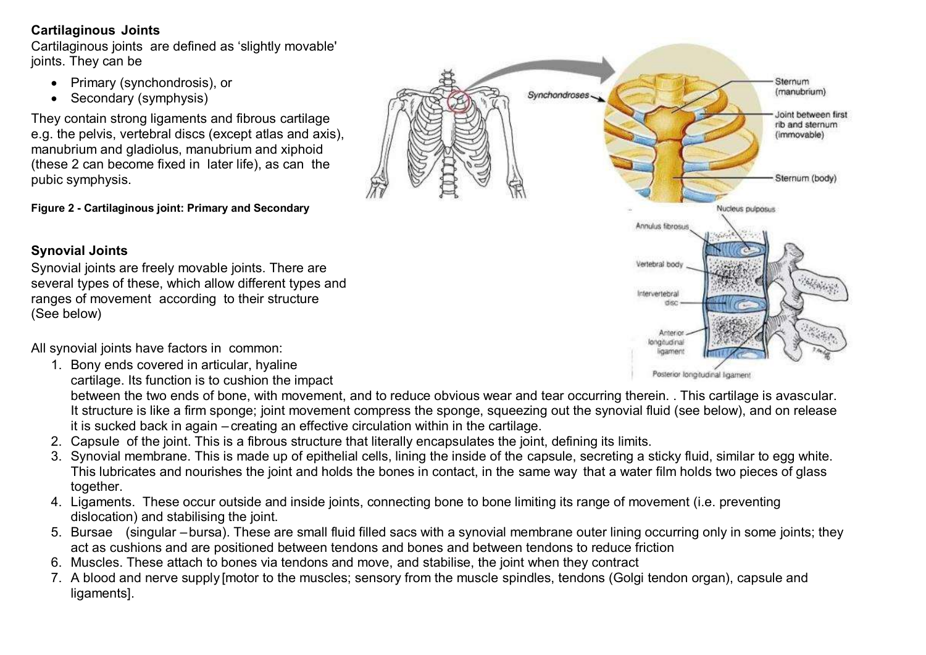### **Cartilaginous Joints**

Cartilaginous joints are defined as 'slightly movable' joints. They can be

- Primary (synchondrosis), or
- Secondary (symphysis)

They contain strong ligaments and fibrous cartilage e.g. the pelvis, vertebral discs (except atlas and axis), manubrium and gladiolus, manubrium and xiphoid (these 2 can become fixed in later life), as can the pubic symphysis.

**Figure 2 - Cartilaginous joint: Primary and Secondary**

Synovial joints are freely movable joints. There are several types of these, which allow different types and

# Sternum (manubrium) Synchondroses Joint between first rib and sternum (immovable) Sternum (body) Nucleus pulposus Annulus fibrosus Vertebral body **SERVICE** Intervertebral Anteri longdudiru

insmer

Posterior longitudinal ligament

ranges of movement according to their structure

**Synovial Joints**

(See below)

All synovial joints have factors in common:

- 1. Bony ends covered in articular, hyaline
	- cartilage. Its function is to cushion the impact

between the two ends of bone, with movement, and to reduce obvious wear and tear occurring therein. . This cartilage is avascular. It structure is like a firm sponge; joint movement compress the sponge, squeezing out the synovial fluid (see below), and on release it is sucked back in again – creating an effective circulation within in the cartilage.

- 2. Capsule of the joint. This is a fibrous structure that literally encapsulates the joint, defining its limits.
- 3. Synovial membrane. This is made up of epithelial cells, lining the inside of the capsule, secreting a sticky fluid, similar to egg white. This lubricates and nourishes the joint and holds the bones in contact, in the same way that a water film holds two pieces of glass together.
- 4. Ligaments. These occur outside and inside joints, connecting bone to bone limiting its range of movement (i.e. preventing dislocation) and stabilising the joint.
- 5. Bursae (singular –bursa). These are small fluid filled sacs with a synovial membrane outer lining occurring only in some joints; they act as cushions and are positioned between tendons and bones and between tendons to reduce friction
- 6. Muscles. These attach to bones via tendons and move, and stabilise, the joint when they contract
- 7. A blood and nerve supply [motor to the muscles; sensory from the muscle spindles, tendons (Golgi tendon organ), capsule and ligaments].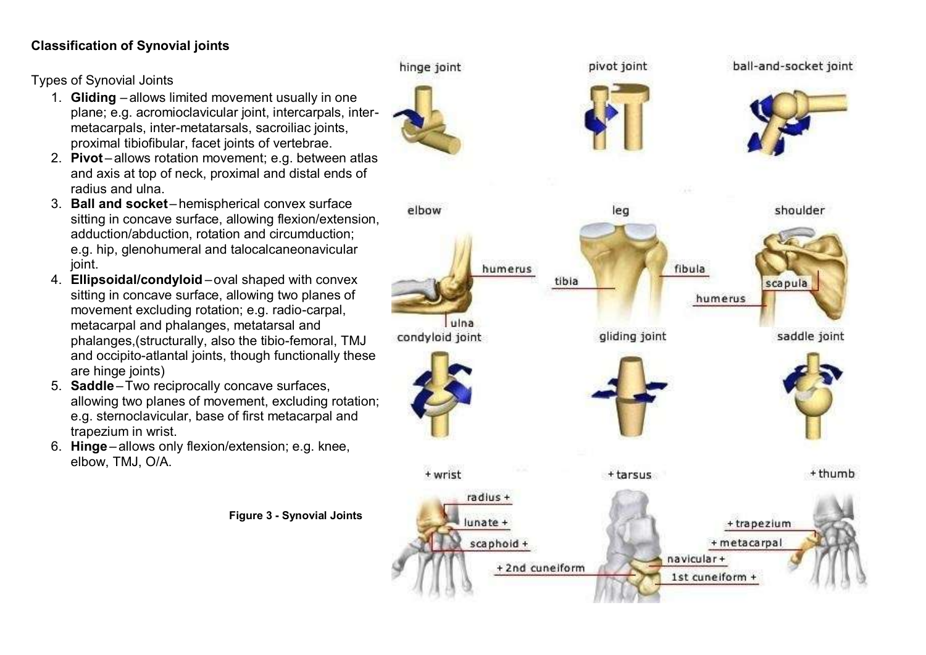## **Classification of Synovial joints**

Types of Synovial Joints

- 1. **Gliding** allows limited movement usually in one plane; e.g. acromioclavicular joint, intercarpals, intermetacarpals, inter-metatarsals, sacroiliac joints, proximal tibiofibular, facet joints of vertebrae.
- 2. **Pivot** allows rotation movement; e.g. between atlas and axis at top of neck, proximal and distal ends of radius and ulna.
- 3. **Ball and socket** hemispherical convex surface sitting in concave surface, allowing flexion/extension, adduction/abduction, rotation and circumduction; e.g. hip, glenohumeral and talocalcaneonavicular ioint.
- 4. **Ellipsoidal/condyloid** –oval shaped with convex sitting in concave surface, allowing two planes of movement excluding rotation; e.g. radio-carpal, metacarpal and phalanges, metatarsal and phalanges,(structurally, also the tibio-femoral, TMJ and occipito-atlantal joints, though functionally these are hinge joints)
- 5. **Saddle** –Two reciprocally concave surfaces, allowing two planes of movement, excluding rotation; e.g. sternoclavicular, base of first metacarpal and trapezium in wrist.
- 6. **Hinge** allows only flexion/extension; e.g. knee, elbow, TMJ, O/A.

**Figure 3 - Synovial Joints**

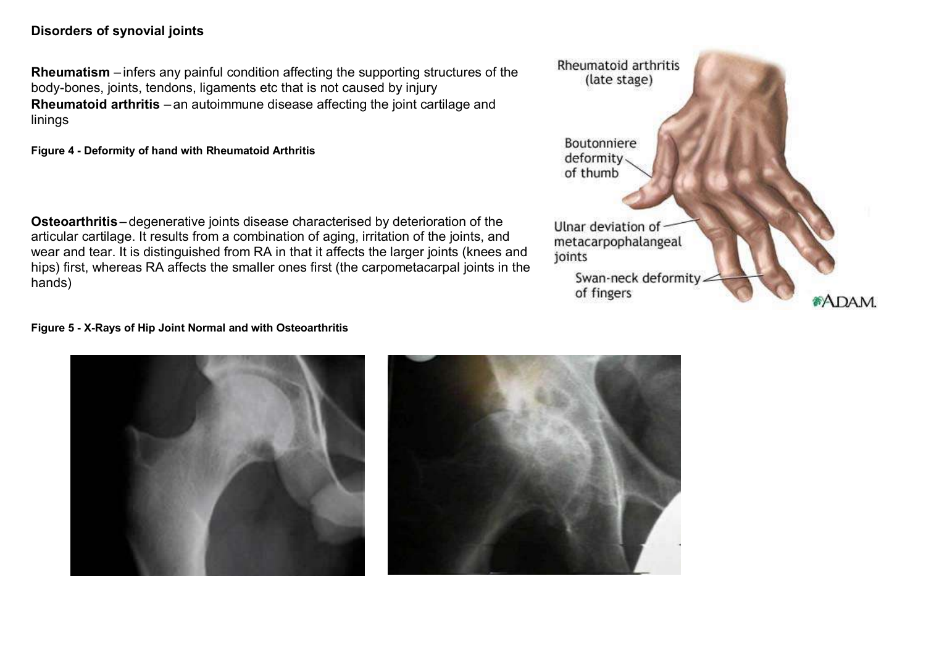### **Disorders of synovial joints**

**Rheumatism** – infers any painful condition affecting the supporting structures of the body-bones, joints, tendons, ligaments etc that is not caused by injury **Rheumatoid arthritis** – an autoimmune disease affecting the joint cartilage and linings

**Figure 4 - Deformity of hand with Rheumatoid Arthritis**

**Osteoarthritis** – degenerative joints disease characterised by deterioration of the articular cartilage. It results from a combination of aging, irritation of the joints, and wear and tear. It is distinguished from RA in that it affects the larger joints (knees and hips) first, whereas RA affects the smaller ones first (the carpometacarpal joints in the hands)

#### **Figure 5 - X-Rays of Hip Joint Normal and with Osteoarthritis**